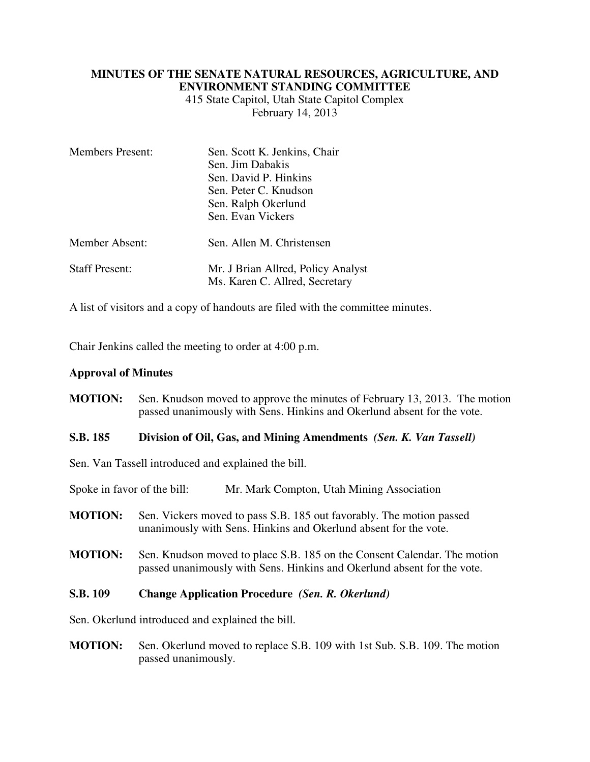## **MINUTES OF THE SENATE NATURAL RESOURCES, AGRICULTURE, AND ENVIRONMENT STANDING COMMITTEE**

415 State Capitol, Utah State Capitol Complex February 14, 2013

| <b>Members Present:</b> | Sen. Scott K. Jenkins, Chair<br>Sen. Jim Dabakis<br>Sen. David P. Hinkins |
|-------------------------|---------------------------------------------------------------------------|
|                         | Sen. Peter C. Knudson                                                     |
|                         | Sen. Ralph Okerlund                                                       |
|                         | Sen. Evan Vickers                                                         |
| <b>Member Absent:</b>   | Sen. Allen M. Christensen                                                 |
| <b>Staff Present:</b>   | Mr. J Brian Allred, Policy Analyst<br>Ms. Karen C. Allred, Secretary      |

A list of visitors and a copy of handouts are filed with the committee minutes.

Chair Jenkins called the meeting to order at 4:00 p.m.

## **Approval of Minutes**

**MOTION:** Sen. Knudson moved to approve the minutes of February 13, 2013. The motion passed unanimously with Sens. Hinkins and Okerlund absent for the vote.

## **S.B. 185 Division of Oil, Gas, and Mining Amendments** *(Sen. K. Van Tassell)*

Sen. Van Tassell introduced and explained the bill.

Spoke in favor of the bill: Mr. Mark Compton, Utah Mining Association

- **MOTION:** Sen. Vickers moved to pass S.B. 185 out favorably. The motion passed unanimously with Sens. Hinkins and Okerlund absent for the vote.
- **MOTION:** Sen. Knudson moved to place S.B. 185 on the Consent Calendar. The motion passed unanimously with Sens. Hinkins and Okerlund absent for the vote.

## **S.B. 109 Change Application Procedure** *(Sen. R. Okerlund)*

Sen. Okerlund introduced and explained the bill.

**MOTION:** Sen. Okerlund moved to replace S.B. 109 with 1st Sub. S.B. 109. The motion passed unanimously.